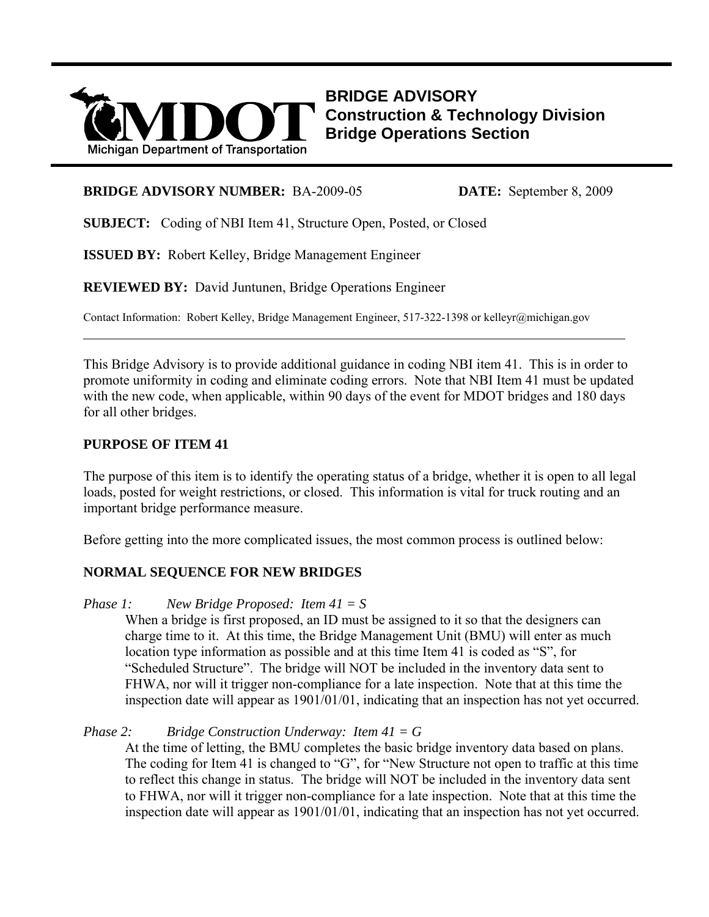

**BRIDGE ADVISORY Construction & Technology Division Bridge Operations Section**

#### **BRIDGE ADVISORY NUMBER:** BA-2009-05 **DATE:** September 8, 2009

**SUBJECT:** Coding of NBI Item 41, Structure Open, Posted, or Closed

**ISSUED BY:** Robert Kelley, Bridge Management Engineer

**REVIEWED BY:** David Juntunen, Bridge Operations Engineer

Contact Information: Robert Kelley, Bridge Management Engineer, 517-322-1398 or kelleyr@michigan.gov

This Bridge Advisory is to provide additional guidance in coding NBI item 41. This is in order to promote uniformity in coding and eliminate coding errors. Note that NBI Item 41 must be updated with the new code, when applicable, within 90 days of the event for MDOT bridges and 180 days for all other bridges.

#### **PURPOSE OF ITEM 41**

 $\overline{a}$ 

The purpose of this item is to identify the operating status of a bridge, whether it is open to all legal loads, posted for weight restrictions, or closed. This information is vital for truck routing and an important bridge performance measure.

Before getting into the more complicated issues, the most common process is outlined below:

## **NORMAL SEQUENCE FOR NEW BRIDGES**

#### *Phase 1: New Bridge Proposed: Item 41 = S*

When a bridge is first proposed, an ID must be assigned to it so that the designers can charge time to it. At this time, the Bridge Management Unit (BMU) will enter as much location type information as possible and at this time Item 41 is coded as "S", for "Scheduled Structure". The bridge will NOT be included in the inventory data sent to FHWA, nor will it trigger non-compliance for a late inspection. Note that at this time the inspection date will appear as 1901/01/01, indicating that an inspection has not yet occurred.

#### *Phase 2: Bridge Construction Underway: Item 41 = G*

At the time of letting, the BMU completes the basic bridge inventory data based on plans. The coding for Item 41 is changed to "G", for "New Structure not open to traffic at this time to reflect this change in status. The bridge will NOT be included in the inventory data sent to FHWA, nor will it trigger non-compliance for a late inspection. Note that at this time the inspection date will appear as 1901/01/01, indicating that an inspection has not yet occurred.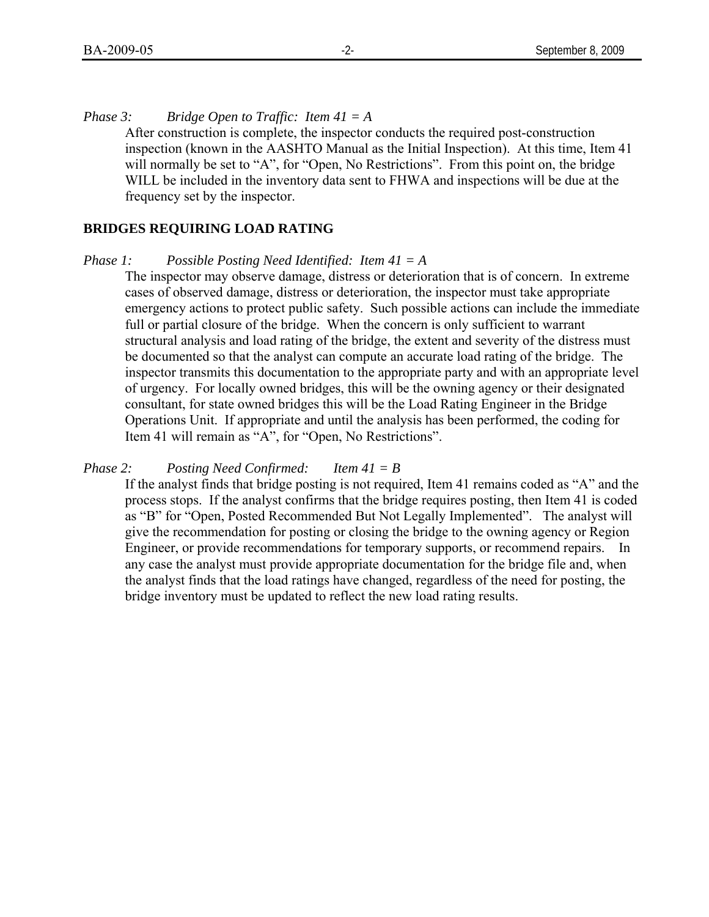*Phase 3: Bridge Open to Traffic: Item 41 = A* 

After construction is complete, the inspector conducts the required post-construction inspection (known in the AASHTO Manual as the Initial Inspection). At this time, Item 41 will normally be set to "A", for "Open, No Restrictions". From this point on, the bridge WILL be included in the inventory data sent to FHWA and inspections will be due at the frequency set by the inspector.

#### **BRIDGES REQUIRING LOAD RATING**

#### *Phase 1: Possible Posting Need Identified: Item 41 = A*

The inspector may observe damage, distress or deterioration that is of concern. In extreme cases of observed damage, distress or deterioration, the inspector must take appropriate emergency actions to protect public safety. Such possible actions can include the immediate full or partial closure of the bridge. When the concern is only sufficient to warrant structural analysis and load rating of the bridge, the extent and severity of the distress must be documented so that the analyst can compute an accurate load rating of the bridge. The inspector transmits this documentation to the appropriate party and with an appropriate level of urgency. For locally owned bridges, this will be the owning agency or their designated consultant, for state owned bridges this will be the Load Rating Engineer in the Bridge Operations Unit. If appropriate and until the analysis has been performed, the coding for Item 41 will remain as "A", for "Open, No Restrictions".

## *Phase 2: Posting Need Confirmed: Item 41 = B*

If the analyst finds that bridge posting is not required, Item 41 remains coded as "A" and the process stops. If the analyst confirms that the bridge requires posting, then Item 41 is coded as "B" for "Open, Posted Recommended But Not Legally Implemented". The analyst will give the recommendation for posting or closing the bridge to the owning agency or Region Engineer, or provide recommendations for temporary supports, or recommend repairs. In any case the analyst must provide appropriate documentation for the bridge file and, when the analyst finds that the load ratings have changed, regardless of the need for posting, the bridge inventory must be updated to reflect the new load rating results.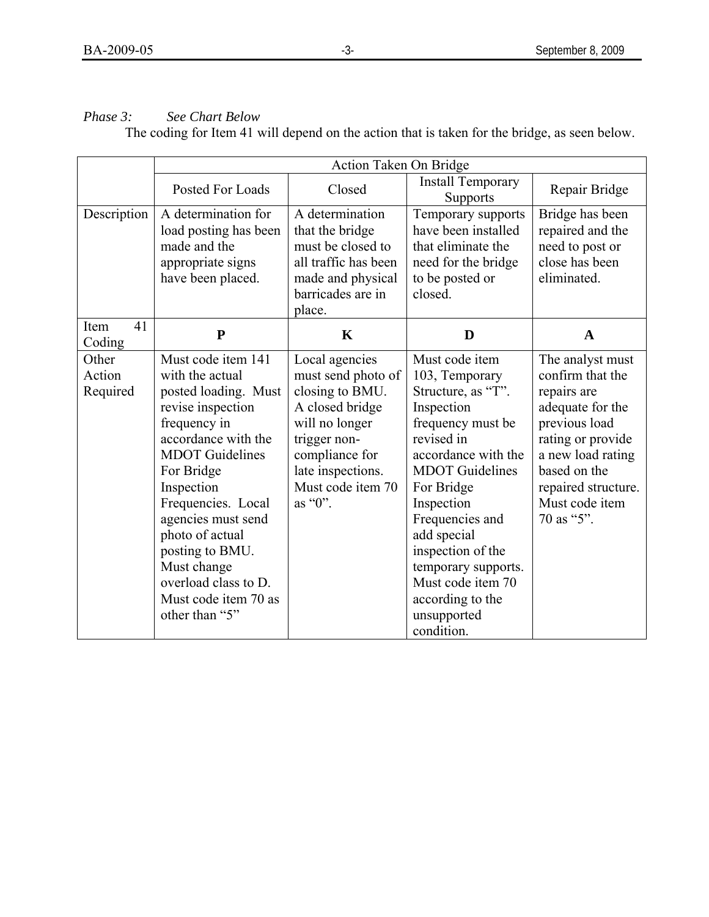# *Phase 3: See Chart Below*

The coding for Item 41 will depend on the action that is taken for the bridge, as seen below.

|                             | Action Taken On Bridge                                                                                                                                                                                                                                                                                                                             |                                                                                                                                                                                     |                                                                                                                                                                                                                                                                                                                                          |                                                                                                                                                                                                           |
|-----------------------------|----------------------------------------------------------------------------------------------------------------------------------------------------------------------------------------------------------------------------------------------------------------------------------------------------------------------------------------------------|-------------------------------------------------------------------------------------------------------------------------------------------------------------------------------------|------------------------------------------------------------------------------------------------------------------------------------------------------------------------------------------------------------------------------------------------------------------------------------------------------------------------------------------|-----------------------------------------------------------------------------------------------------------------------------------------------------------------------------------------------------------|
|                             | Posted For Loads                                                                                                                                                                                                                                                                                                                                   | Closed                                                                                                                                                                              | <b>Install Temporary</b><br><b>Supports</b>                                                                                                                                                                                                                                                                                              | Repair Bridge                                                                                                                                                                                             |
| Description                 | A determination for<br>load posting has been<br>made and the<br>appropriate signs<br>have been placed.                                                                                                                                                                                                                                             | A determination<br>that the bridge<br>must be closed to<br>all traffic has been<br>made and physical<br>barricades are in<br>place.                                                 | Temporary supports<br>have been installed<br>that eliminate the<br>need for the bridge<br>to be posted or<br>closed.                                                                                                                                                                                                                     | Bridge has been<br>repaired and the<br>need to post or<br>close has been<br>eliminated.                                                                                                                   |
| 41<br>Item<br>Coding        | ${\bf P}$                                                                                                                                                                                                                                                                                                                                          | $\mathbf K$                                                                                                                                                                         | D                                                                                                                                                                                                                                                                                                                                        | A                                                                                                                                                                                                         |
| Other<br>Action<br>Required | Must code item 141<br>with the actual<br>posted loading. Must<br>revise inspection<br>frequency in<br>accordance with the<br><b>MDOT</b> Guidelines<br>For Bridge<br>Inspection<br>Frequencies. Local<br>agencies must send<br>photo of actual<br>posting to BMU.<br>Must change<br>overload class to D.<br>Must code item 70 as<br>other than "5" | Local agencies<br>must send photo of<br>closing to BMU.<br>A closed bridge<br>will no longer<br>trigger non-<br>compliance for<br>late inspections.<br>Must code item 70<br>as "0". | Must code item<br>103, Temporary<br>Structure, as "T".<br>Inspection<br>frequency must be<br>revised in<br>accordance with the<br><b>MDOT</b> Guidelines<br>For Bridge<br>Inspection<br>Frequencies and<br>add special<br>inspection of the<br>temporary supports.<br>Must code item 70<br>according to the<br>unsupported<br>condition. | The analyst must<br>confirm that the<br>repairs are<br>adequate for the<br>previous load<br>rating or provide<br>a new load rating<br>based on the<br>repaired structure.<br>Must code item<br>70 as "5". |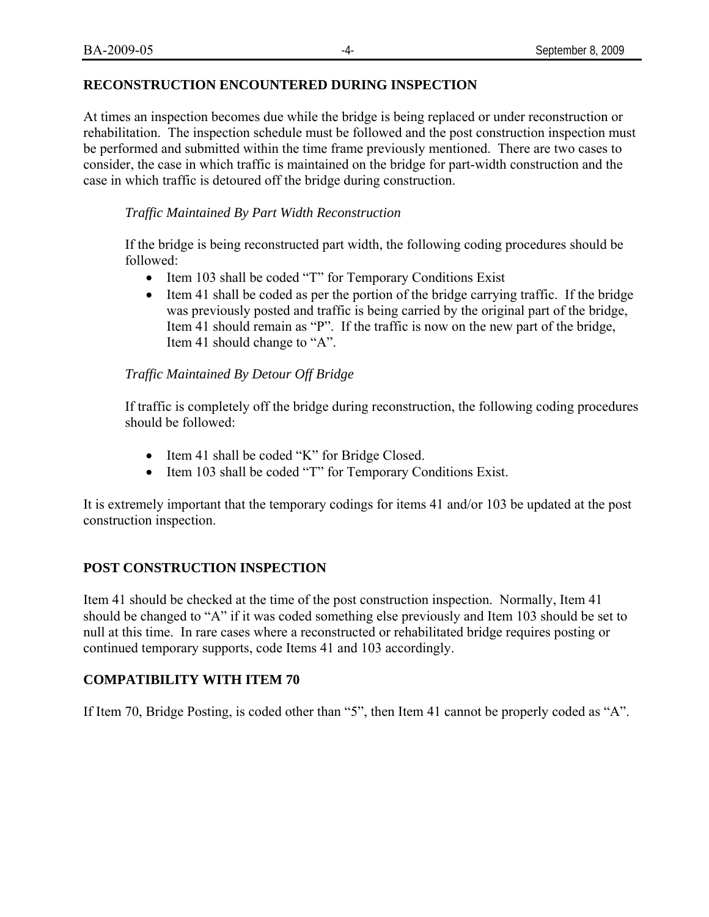## **RECONSTRUCTION ENCOUNTERED DURING INSPECTION**

At times an inspection becomes due while the bridge is being replaced or under reconstruction or rehabilitation. The inspection schedule must be followed and the post construction inspection must be performed and submitted within the time frame previously mentioned. There are two cases to consider, the case in which traffic is maintained on the bridge for part-width construction and the case in which traffic is detoured off the bridge during construction.

## *Traffic Maintained By Part Width Reconstruction*

If the bridge is being reconstructed part width, the following coding procedures should be followed:

- Item 103 shall be coded "T" for Temporary Conditions Exist
- Item 41 shall be coded as per the portion of the bridge carrying traffic. If the bridge was previously posted and traffic is being carried by the original part of the bridge, Item 41 should remain as "P". If the traffic is now on the new part of the bridge, Item 41 should change to "A".

## *Traffic Maintained By Detour Off Bridge*

If traffic is completely off the bridge during reconstruction, the following coding procedures should be followed:

- Item 41 shall be coded "K" for Bridge Closed.
- Item 103 shall be coded "T" for Temporary Conditions Exist.

It is extremely important that the temporary codings for items 41 and/or 103 be updated at the post construction inspection.

## **POST CONSTRUCTION INSPECTION**

Item 41 should be checked at the time of the post construction inspection. Normally, Item 41 should be changed to "A" if it was coded something else previously and Item 103 should be set to null at this time. In rare cases where a reconstructed or rehabilitated bridge requires posting or continued temporary supports, code Items 41 and 103 accordingly.

## **COMPATIBILITY WITH ITEM 70**

If Item 70, Bridge Posting, is coded other than "5", then Item 41 cannot be properly coded as "A".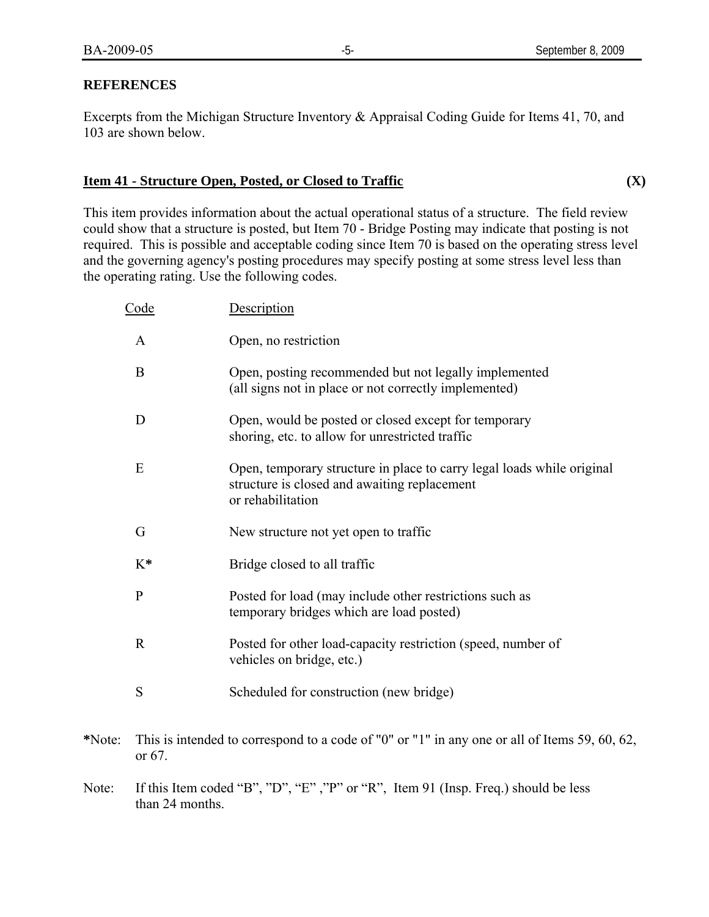#### **REFERENCES**

Excerpts from the Michigan Structure Inventory & Appraisal Coding Guide for Items 41, 70, and 103 are shown below.

#### **Item 41 - Structure Open, Posted, or Closed to Traffic (X)**

This item provides information about the actual operational status of a structure. The field review could show that a structure is posted, but Item 70 - Bridge Posting may indicate that posting is not required. This is possible and acceptable coding since Item 70 is based on the operating stress level and the governing agency's posting procedures may specify posting at some stress level less than the operating rating. Use the following codes.

| <u>Code</u>  | Description                                                                                                                                 |
|--------------|---------------------------------------------------------------------------------------------------------------------------------------------|
| $\mathbf{A}$ | Open, no restriction                                                                                                                        |
| B            | Open, posting recommended but not legally implemented<br>(all signs not in place or not correctly implemented)                              |
| D            | Open, would be posted or closed except for temporary<br>shoring, etc. to allow for unrestricted traffic                                     |
| E            | Open, temporary structure in place to carry legal loads while original<br>structure is closed and awaiting replacement<br>or rehabilitation |
| G            | New structure not yet open to traffic                                                                                                       |
| $K^*$        | Bridge closed to all traffic                                                                                                                |
| $\mathbf{P}$ | Posted for load (may include other restrictions such as<br>temporary bridges which are load posted)                                         |
| $\mathbf R$  | Posted for other load-capacity restriction (speed, number of<br>vehicles on bridge, etc.)                                                   |
| S            | Scheduled for construction (new bridge)                                                                                                     |

- **\***Note: This is intended to correspond to a code of "0" or "1" in any one or all of Items 59, 60, 62, or 67.
- Note: If this Item coded "B", "D", "E" ,"P" or "R", Item 91 (Insp. Freq.) should be less than 24 months.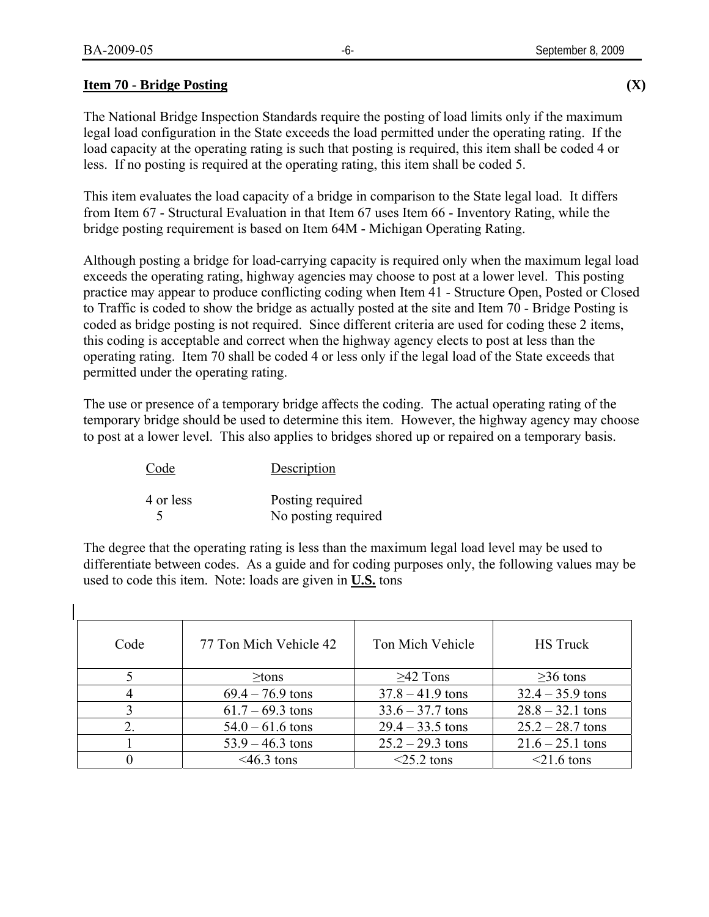#### **Item 70 - Bridge Posting (X)**

The National Bridge Inspection Standards require the posting of load limits only if the maximum legal load configuration in the State exceeds the load permitted under the operating rating. If the load capacity at the operating rating is such that posting is required, this item shall be coded 4 or less. If no posting is required at the operating rating, this item shall be coded 5.

This item evaluates the load capacity of a bridge in comparison to the State legal load. It differs from Item 67 - Structural Evaluation in that Item 67 uses Item 66 - Inventory Rating, while the bridge posting requirement is based on Item 64M - Michigan Operating Rating.

Although posting a bridge for load-carrying capacity is required only when the maximum legal load exceeds the operating rating, highway agencies may choose to post at a lower level. This posting practice may appear to produce conflicting coding when Item 41 - Structure Open, Posted or Closed to Traffic is coded to show the bridge as actually posted at the site and Item 70 - Bridge Posting is coded as bridge posting is not required. Since different criteria are used for coding these 2 items, this coding is acceptable and correct when the highway agency elects to post at less than the operating rating. Item 70 shall be coded 4 or less only if the legal load of the State exceeds that permitted under the operating rating.

The use or presence of a temporary bridge affects the coding. The actual operating rating of the temporary bridge should be used to determine this item. However, the highway agency may choose to post at a lower level. This also applies to bridges shored up or repaired on a temporary basis.

| Code      | Description         |
|-----------|---------------------|
| 4 or less | Posting required    |
| ↖         | No posting required |

The degree that the operating rating is less than the maximum legal load level may be used to differentiate between codes. As a guide and for coding purposes only, the following values may be used to code this item. Note: loads are given in **U.S.** tons

| Code             | 77 Ton Mich Vehicle 42 | Ton Mich Vehicle   | <b>HS</b> Truck    |
|------------------|------------------------|--------------------|--------------------|
|                  | $\geq$ tons            | $\geq$ 42 Tons     | $\geq$ 36 tons     |
|                  | $69.4 - 76.9$ tons     | $37.8 - 41.9$ tons | $32.4 - 35.9$ tons |
|                  | $61.7 - 69.3$ tons     | $33.6 - 37.7$ tons | $28.8 - 32.1$ tons |
| $\overline{2}$ . | $54.0 - 61.6$ tons     | $29.4 - 33.5$ tons | $25.2 - 28.7$ tons |
|                  | $53.9 - 46.3$ tons     | $25.2 - 29.3$ tons | $21.6 - 25.1$ tons |
|                  | $<$ 46.3 tons          | $<$ 25.2 tons      | $\leq$ 1.6 tons    |